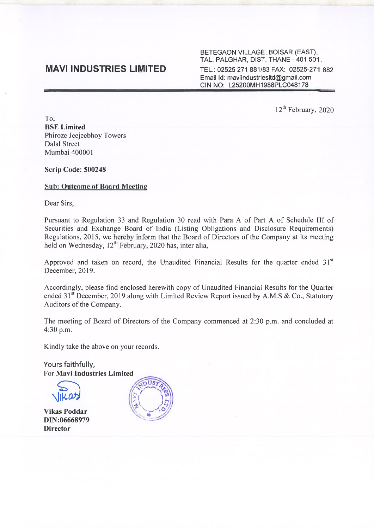# **MAVI INDUSTRIES LIMITED**

BETEGAON VILLAGE, BOISAR (EAST), TAL. PALGHAR, DIST. THANE - 401 501. TEL.: 02525 271 881/83 FAX: 02525-271 882 Email Id: maviindustriesltd@gmail.com CIN NO: L25200MH1988PLC048178

12<sup>th</sup> February, 2020

To, **BSE Limited** Phirozc Jccjccbhoy Towers Dalal Street Mumbai 400001

Scrip Code: 500248

## Sub: Outcome of Board Meeting

Dear Sirs,

Pursuant to Regulation 33 and Regulation 30 read with Para A of Part A of Schedule III of Securities and Exchange Board of India (Listing Obligations and Disclosure Requirements) Regulations, 2015, we hereby in form that the Board of Directors of the Company at its meeting held on Wednesday,  $12^{th}$  February, 2020 has, inter alia,

Approved and taken on record, the Unaudited Financial Results for the quarter ended 31st December, 2019.

Accordingly, please find enclosed herewith copy of Unaudited Financial Results for the Quarter ended  $31^{st}$  December, 2019 along with Limited Review Report issued by A.M.S & Co., Statutory Auditors of the Company.

The meeting of Board of Directors of the Company commenced at 2:30 p.m. and concluded at 4:30 p.m.

Kindly take the above on your records.

Yours faithfully, For Mavi Industries Limited



Vikas Poddar DIN:06668979 **Director** 

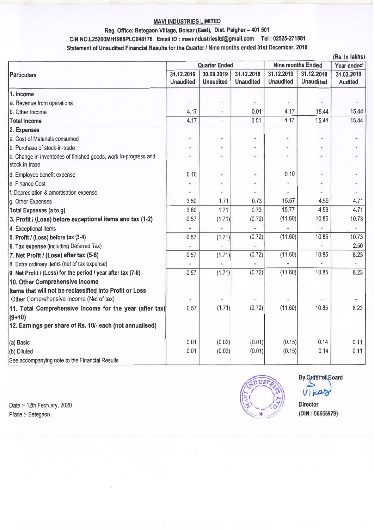### MAVI INDUSTRIES LIMITED

# Reg. Office: Betegaon Village, Boisar (East), Dist. Palghar - 401 501 CIN NO.L25200MH1988PLC048178 Email ID: maviindustriesltd@gmail.com Tel: 02525-271881 Statement of Unaudited Financial Results for the Quarter *I* Nine months ended 31st December, 2019

| (Rs. In lakhs)                                                                     |                                |                                |                                |                                |                                |                              |
|------------------------------------------------------------------------------------|--------------------------------|--------------------------------|--------------------------------|--------------------------------|--------------------------------|------------------------------|
| <b>Particulars</b>                                                                 | <b>Quarter Ended</b>           |                                |                                | <b>Nine months Ended</b>       |                                | Year ended                   |
|                                                                                    | 31.12.2019<br><b>Unaudited</b> | 30.09.2019<br><b>Unaudited</b> | 31.12.2018<br><b>Unaudited</b> | 31.12.2019<br><b>Unaudited</b> | 31.12.2018<br><b>Unaudited</b> | 31.03.2019<br><b>Audited</b> |
| 1. Income                                                                          |                                |                                |                                |                                |                                |                              |
| a. Revenue from operations                                                         | G.                             |                                | $\omega$                       |                                |                                |                              |
| b. Other Income                                                                    | 4.17                           |                                | 0.01                           | 4.17                           | 15.44                          | 15.44                        |
| <b>Total Income</b>                                                                | 4.17                           | $\blacksquare$                 | 0.01                           | 4.17                           | 15.44                          | 15.44                        |
| 2. Expenses                                                                        |                                |                                |                                |                                |                                |                              |
| a. Cost of Materials consumed                                                      | ä,                             |                                |                                |                                |                                |                              |
| b. Purchase of stock-in-trade                                                      | ÷                              |                                | $\blacksquare$                 |                                |                                |                              |
| c. Change in Inventories of finished goods, work-in-progress and<br>stock in trade | $\overline{\phantom{a}}$       | $\overline{\phantom{a}}$       | $\overline{\phantom{a}}$       |                                | $\overline{\phantom{a}}$       |                              |
| d. Employee benefit expense                                                        | 0.10                           | ×                              | $\omega$                       | 0.10                           | w.                             |                              |
| le. Finance Cost                                                                   |                                |                                | $\overline{\phantom{a}}$       |                                |                                |                              |
| f. Depreciation & amortisation expense                                             | u,                             | u.                             |                                |                                |                                |                              |
| g. Other Expenses                                                                  | 3.50                           | 1.71                           | 0.73                           | 15.67                          | 4.59                           | 4.71                         |
| Total Expenses (a to g)                                                            | 3.60                           | 1.71                           | 0.73                           | 15.77                          | 4.59                           | 4.71                         |
| 3. Profit / (Loss) before exceptional items and tax (1-2)                          | 0.57                           | (1.71)                         | (0.72)                         | (11.60)                        | 10.85                          | 10.73                        |
| 4. Exceptional Items                                                               | ¥,                             |                                |                                |                                |                                |                              |
| 5. Profit / (Loss) before tax (3-4)                                                | 0.57                           | (1.71)                         | (0.72)                         | (11.60)                        | 10.85                          | 10.73                        |
| 6. Tax expense (including Deferred Tax)                                            |                                |                                |                                |                                |                                | 2.50                         |
| 7. Net Profit / (Loss) after tax (5-6)                                             | 0.57                           | (1.71)                         | (0.72)                         | (11.60)                        | 10.85                          | 8.23                         |
| 8. Extra ordinary items (net of tax expense)                                       | $\bullet$                      |                                |                                |                                |                                | $\blacksquare$               |
| 9. Net Profit / (Loss) for the period / year after tax (7-8)                       | 0.57                           | (1.71)                         | (0.72)                         | (11.60)                        | 10.85                          | 8.23                         |
| 10. Other Comprehensive Income                                                     |                                |                                |                                |                                |                                |                              |
| Items that will not be reclassified into Profit or Loss                            |                                |                                |                                |                                |                                |                              |
| Other Comprehensive Income (Net of tax)                                            |                                |                                |                                |                                |                                |                              |
| 11. Total Comprehensive Income for the year (after tax)                            | 0.57                           | (1.71)                         | (0.72)                         | (11.60)                        | 10.85                          | 8.23                         |
| $(9+10)$                                                                           |                                |                                |                                |                                |                                |                              |
| 12. Earnings per share of Rs. 10/- each (not annualised)                           |                                |                                |                                |                                |                                |                              |
| (a) Basic                                                                          | 0.01                           | (0.02)                         | (0.01)                         | (0.15)                         | 0.14                           | 0.11                         |
| (b) Diluted                                                                        | 0.01                           | (0.02)                         | (0.01)                         | (0.15)                         | 0.14                           | 0.11                         |
| See accompanying note to the Financial Results                                     |                                |                                |                                |                                |                                |                              |

Date:- 12th February, 2020 Place :- Betegaon



By Order of Board  $V$ *Ika*z

Director (DIN : 06668979)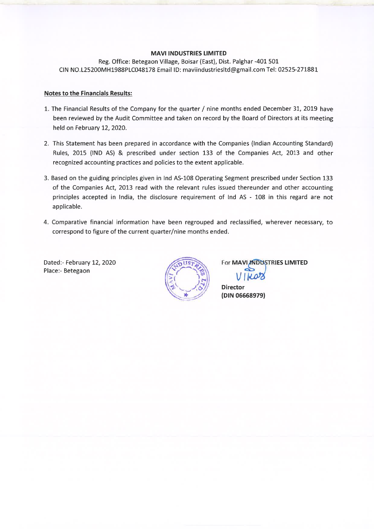#### **MAVI INDUSTRIES LIMITED**

Reg. Office: Betegaon Village, Boisar (East), Dist. Palghar -401 501 CIN NO.L25200MH1988PLC048178 Email ID: maviindustriesltd@gmail.com Tel: 02525-271881

### **Notes to the Financials Results:**

- 1. The Financial Results of the Company for the quarter/ nine months ended December 31, 2019 have been reviewed by the Audit Committee and taken on record by the Board of Directors at its meeting held on February 12, 2020.
- 2. This Statement has been prepared in accordance with the Companies {Indian Accounting Standard) Rules, 2015 {IND AS) & prescribed under section 133 of the Companies Act, 2013 and other recognized accounting practices and policies to the extent applicable.
- 3. Based on the guiding principles given in Ind AS-108 Operating Segment prescribed under Section 133 of the Companies Act, 2013 read with the relevant rules issued thereunder and other accounting principles accepted in India, the disclosure requirement of Ind AS - 108 in this regard are not applicable.
- 4. Comparative financial information have been regrouped and reclassified, wherever necessary, to correspond to figure of the current quarter/nine months ended.

Dated:- February 12, 2020 Place:- Betegaon



For **MAVI INDUSTRIES LIMITED** 

**Director (DIN 06668979)**  VIKOO